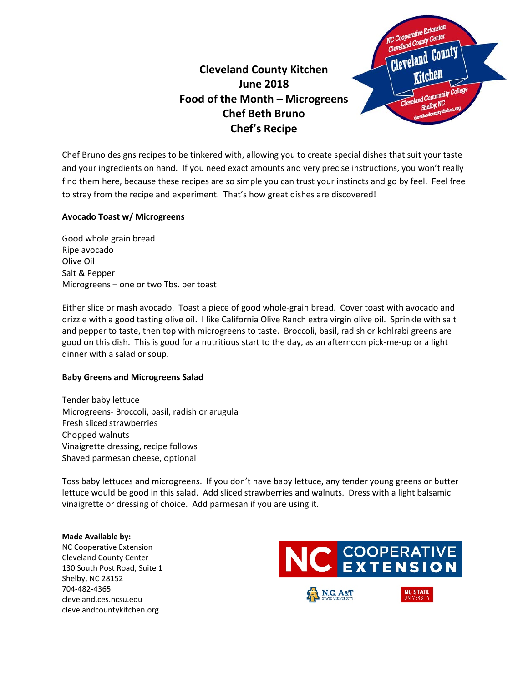## **Cleveland County Kitchen June 2018 Food of the Month – Microgreens Chef Beth Bruno Chef's Recipe**



Chef Bruno designs recipes to be tinkered with, allowing you to create special dishes that suit your taste and your ingredients on hand. If you need exact amounts and very precise instructions, you won't really find them here, because these recipes are so simple you can trust your instincts and go by feel. Feel free to stray from the recipe and experiment. That's how great dishes are discovered!

### **Avocado Toast w/ Microgreens**

Good whole grain bread Ripe avocado Olive Oil Salt & Pepper Microgreens – one or two Tbs. per toast

Either slice or mash avocado. Toast a piece of good whole-grain bread. Cover toast with avocado and drizzle with a good tasting olive oil. I like California Olive Ranch extra virgin olive oil. Sprinkle with salt and pepper to taste, then top with microgreens to taste. Broccoli, basil, radish or kohlrabi greens are good on this dish. This is good for a nutritious start to the day, as an afternoon pick-me-up or a light dinner with a salad or soup.

### **Baby Greens and Microgreens Salad**

Tender baby lettuce Microgreens- Broccoli, basil, radish or arugula Fresh sliced strawberries Chopped walnuts Vinaigrette dressing, recipe follows Shaved parmesan cheese, optional

Toss baby lettuces and microgreens. If you don't have baby lettuce, any tender young greens or butter lettuce would be good in this salad. Add sliced strawberries and walnuts. Dress with a light balsamic vinaigrette or dressing of choice. Add parmesan if you are using it.

#### **Made Available by:**

NC Cooperative Extension Cleveland County Center 130 South Post Road, Suite 1 Shelby, NC 28152 704-482-4365 cleveland.ces.ncsu.edu clevelandcountykitchen.org

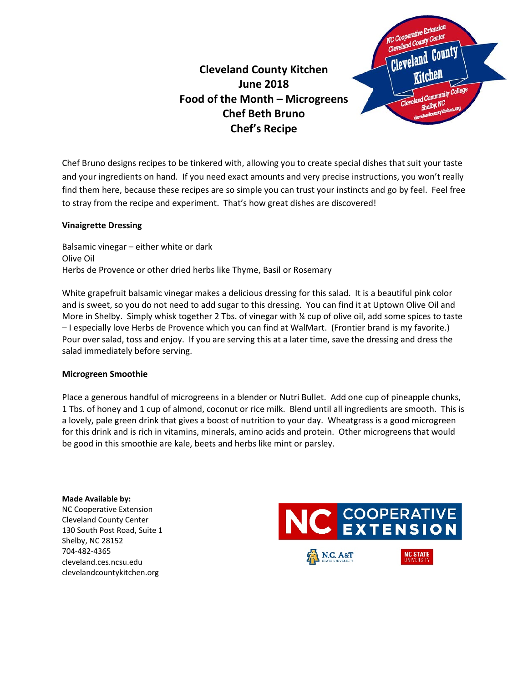# **Cleveland County Kitchen June 2018 Food of the Month – Microgreens Chef Beth Bruno Chef's Recipe**



Chef Bruno designs recipes to be tinkered with, allowing you to create special dishes that suit your taste and your ingredients on hand. If you need exact amounts and very precise instructions, you won't really find them here, because these recipes are so simple you can trust your instincts and go by feel. Feel free to stray from the recipe and experiment. That's how great dishes are discovered!

### **Vinaigrette Dressing**

Balsamic vinegar – either white or dark Olive Oil Herbs de Provence or other dried herbs like Thyme, Basil or Rosemary

White grapefruit balsamic vinegar makes a delicious dressing for this salad. It is a beautiful pink color and is sweet, so you do not need to add sugar to this dressing. You can find it at Uptown Olive Oil and More in Shelby. Simply whisk together 2 Tbs. of vinegar with % cup of olive oil, add some spices to taste – I especially love Herbs de Provence which you can find at WalMart. (Frontier brand is my favorite.) Pour over salad, toss and enjoy. If you are serving this at a later time, save the dressing and dress the salad immediately before serving.

### **Microgreen Smoothie**

Place a generous handful of microgreens in a blender or Nutri Bullet. Add one cup of pineapple chunks, 1 Tbs. of honey and 1 cup of almond, coconut or rice milk. Blend until all ingredients are smooth. This is a lovely, pale green drink that gives a boost of nutrition to your day. Wheatgrass is a good microgreen for this drink and is rich in vitamins, minerals, amino acids and protein. Other microgreens that would be good in this smoothie are kale, beets and herbs like mint or parsley.

**Made Available by:**  NC Cooperative Extension Cleveland County Center 130 South Post Road, Suite 1 Shelby, NC 28152 704-482-4365 cleveland.ces.ncsu.edu clevelandcountykitchen.org